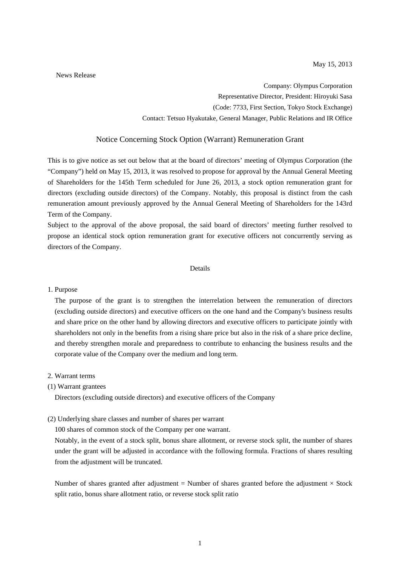News Release

Company: Olympus Corporation Representative Director, President: Hiroyuki Sasa (Code: 7733, First Section, Tokyo Stock Exchange) Contact: Tetsuo Hyakutake, General Manager, Public Relations and IR Office

# Notice Concerning Stock Option (Warrant) Remuneration Grant

This is to give notice as set out below that at the board of directors' meeting of Olympus Corporation (the "Company") held on May 15, 2013, it was resolved to propose for approval by the Annual General Meeting of Shareholders for the 145th Term scheduled for June 26, 2013, a stock option remuneration grant for directors (excluding outside directors) of the Company. Notably, this proposal is distinct from the cash remuneration amount previously approved by the Annual General Meeting of Shareholders for the 143rd Term of the Company.

Subject to the approval of the above proposal, the said board of directors' meeting further resolved to propose an identical stock option remuneration grant for executive officers not concurrently serving as directors of the Company.

## Details

### 1. Purpose

The purpose of the grant is to strengthen the interrelation between the remuneration of directors (excluding outside directors) and executive officers on the one hand and the Company's business results and share price on the other hand by allowing directors and executive officers to participate jointly with shareholders not only in the benefits from a rising share price but also in the risk of a share price decline, and thereby strengthen morale and preparedness to contribute to enhancing the business results and the corporate value of the Company over the medium and long term.

### 2. Warrant terms

### (1) Warrant grantees

Directors (excluding outside directors) and executive officers of the Company

(2) Underlying share classes and number of shares per warrant

100 shares of common stock of the Company per one warrant.

Notably, in the event of a stock split, bonus share allotment, or reverse stock split, the number of shares under the grant will be adjusted in accordance with the following formula. Fractions of shares resulting from the adjustment will be truncated.

Number of shares granted after adjustment = Number of shares granted before the adjustment  $\times$  Stock split ratio, bonus share allotment ratio, or reverse stock split ratio